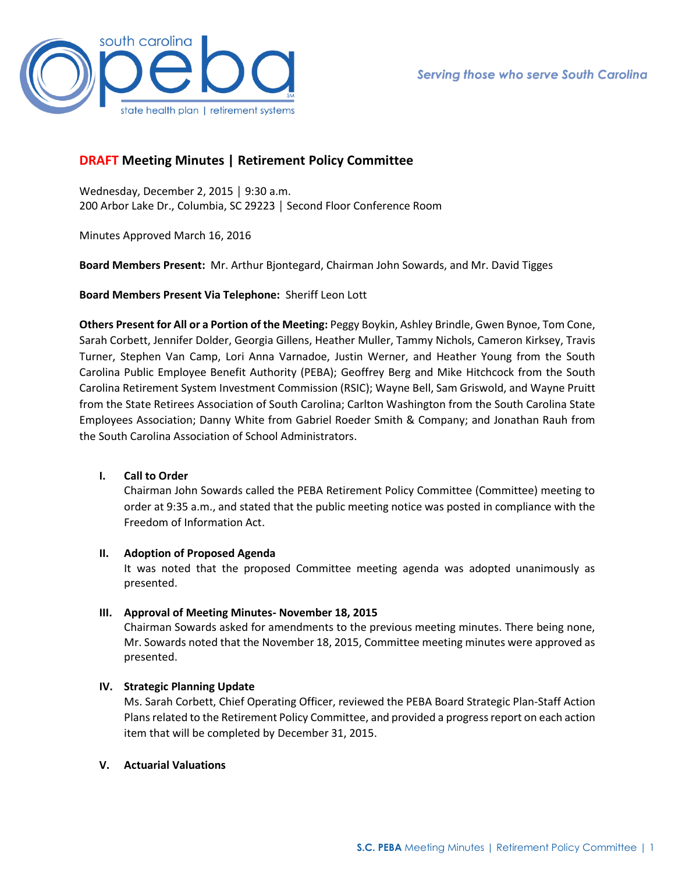

# **DRAFT Meeting Minutes | Retirement Policy Committee**

Wednesday, December 2, 2015 │ 9:30 a.m. 200 Arbor Lake Dr., Columbia, SC 29223 │ Second Floor Conference Room

Minutes Approved March 16, 2016

**Board Members Present:** Mr. Arthur Bjontegard, Chairman John Sowards, and Mr. David Tigges

**Board Members Present Via Telephone:** Sheriff Leon Lott

**Others Present for All or a Portion of the Meeting:** Peggy Boykin, Ashley Brindle, Gwen Bynoe, Tom Cone, Sarah Corbett, Jennifer Dolder, Georgia Gillens, Heather Muller, Tammy Nichols, Cameron Kirksey, Travis Turner, Stephen Van Camp, Lori Anna Varnadoe, Justin Werner, and Heather Young from the South Carolina Public Employee Benefit Authority (PEBA); Geoffrey Berg and Mike Hitchcock from the South Carolina Retirement System Investment Commission (RSIC); Wayne Bell, Sam Griswold, and Wayne Pruitt from the State Retirees Association of South Carolina; Carlton Washington from the South Carolina State Employees Association; Danny White from Gabriel Roeder Smith & Company; and Jonathan Rauh from the South Carolina Association of School Administrators.

## **I. Call to Order**

Chairman John Sowards called the PEBA Retirement Policy Committee (Committee) meeting to order at 9:35 a.m., and stated that the public meeting notice was posted in compliance with the Freedom of Information Act.

### **II. Adoption of Proposed Agenda**

It was noted that the proposed Committee meeting agenda was adopted unanimously as presented.

## **III. Approval of Meeting Minutes- November 18, 2015**

Chairman Sowards asked for amendments to the previous meeting minutes. There being none, Mr. Sowards noted that the November 18, 2015, Committee meeting minutes were approved as presented.

## **IV. Strategic Planning Update**

Ms. Sarah Corbett, Chief Operating Officer, reviewed the PEBA Board Strategic Plan-Staff Action Plans related to the Retirement Policy Committee, and provided a progress report on each action item that will be completed by December 31, 2015.

### **V. Actuarial Valuations**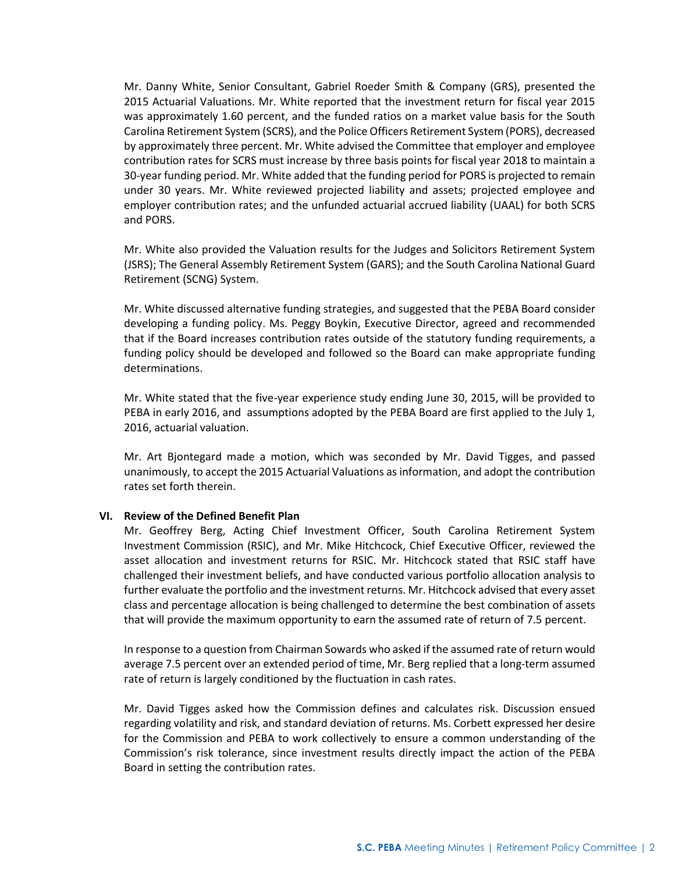Mr. Danny White, Senior Consultant, Gabriel Roeder Smith & Company (GRS), presented the 2015 Actuarial Valuations. Mr. White reported that the investment return for fiscal year 2015 was approximately 1.60 percent, and the funded ratios on a market value basis for the South Carolina Retirement System (SCRS), and the Police Officers Retirement System (PORS), decreased by approximately three percent. Mr. White advised the Committee that employer and employee contribution rates for SCRS must increase by three basis points for fiscal year 2018 to maintain a 30-year funding period. Mr. White added that the funding period for PORS is projected to remain under 30 years. Mr. White reviewed projected liability and assets; projected employee and employer contribution rates; and the unfunded actuarial accrued liability (UAAL) for both SCRS and PORS.

Mr. White also provided the Valuation results for the Judges and Solicitors Retirement System (JSRS); The General Assembly Retirement System (GARS); and the South Carolina National Guard Retirement (SCNG) System.

Mr. White discussed alternative funding strategies, and suggested that the PEBA Board consider developing a funding policy. Ms. Peggy Boykin, Executive Director, agreed and recommended that if the Board increases contribution rates outside of the statutory funding requirements, a funding policy should be developed and followed so the Board can make appropriate funding determinations.

Mr. White stated that the five-year experience study ending June 30, 2015, will be provided to PEBA in early 2016, and assumptions adopted by the PEBA Board are first applied to the July 1, 2016, actuarial valuation.

Mr. Art Bjontegard made a motion, which was seconded by Mr. David Tigges, and passed unanimously, to accept the 2015 Actuarial Valuations as information, and adopt the contribution rates set forth therein.

### **VI. Review of the Defined Benefit Plan**

Mr. Geoffrey Berg, Acting Chief Investment Officer, South Carolina Retirement System Investment Commission (RSIC), and Mr. Mike Hitchcock, Chief Executive Officer, reviewed the asset allocation and investment returns for RSIC. Mr. Hitchcock stated that RSIC staff have challenged their investment beliefs, and have conducted various portfolio allocation analysis to further evaluate the portfolio and the investment returns. Mr. Hitchcock advised that every asset class and percentage allocation is being challenged to determine the best combination of assets that will provide the maximum opportunity to earn the assumed rate of return of 7.5 percent.

In response to a question from Chairman Sowards who asked if the assumed rate of return would average 7.5 percent over an extended period of time, Mr. Berg replied that a long-term assumed rate of return is largely conditioned by the fluctuation in cash rates.

Mr. David Tigges asked how the Commission defines and calculates risk. Discussion ensued regarding volatility and risk, and standard deviation of returns. Ms. Corbett expressed her desire for the Commission and PEBA to work collectively to ensure a common understanding of the Commission's risk tolerance, since investment results directly impact the action of the PEBA Board in setting the contribution rates.